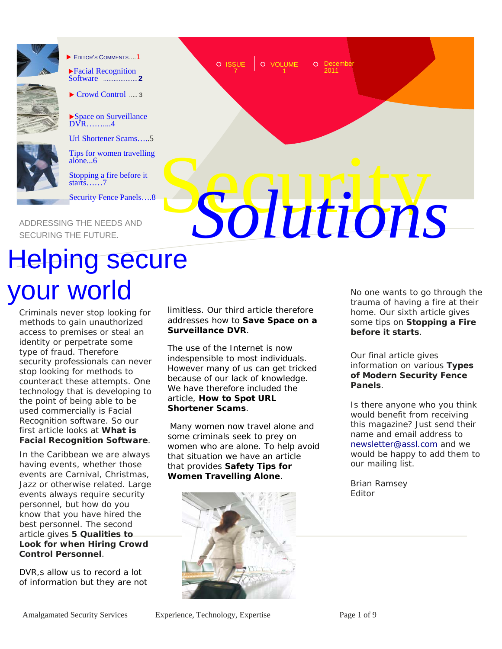

**EDITOR'S COMMENTS ... 1** [Facial Recognition](#page-1-0) 



Software .................... **2**  [Crowd Control](#page-2-0) ..... 3

> [Space on Surveillance](#page-3-0)  DVR……....4

[Url Shortener Scams…..5](#page-4-0) 

Tips for women travelling<br>Stopping a fire before it<br>Security Fence Panels.....8<br>ADDRESSING THE NEEDS AND [Tips for women travelling](#page-5-0)  alone...6

[Stopping a fire before it](#page-6-0)  starts……7

[Security Fence Panels….8](#page-7-0)

SECURING THE NEEDS AND<br>ADDRESSING THE NEEDS AND<br>.

# Helping secure your world

Criminals never stop looking for methods to gain unauthorized access to premises or steal an identity or perpetrate some type of fraud. Therefore security professionals can never stop looking for methods to counteract these attempts. One technology that is developing to the point of being able to be used commercially is Facial Recognition software. So our first article looks at **[What is](#page-1-0) [Facial Recognition Software](#page-1-0)**.

In the Caribbean we are always having events, whether those events are Carnival, Christmas, Jazz or otherwise related. Large events always require security personnel, but how do you know that you have hired the best personnel. The second article gives **5 Qualities to [Look for when Hiring Crowd](#page-2-0)  Control Personnel**.

DVR,s allow us to record a lot of information but they are not limitless. Our third article therefore addresses how to **[Save Space on a](#page-3-0) [Surveillance DVR](#page-2-0)**.

ISSUE 7

December

VOLUME | O Decei<br>1 2011

The use of the Internet is now indespensible to most individuals. However many of us can get tricked because of our lack of knowledge. We have therefore included the article, **[How to Spot URL](#page-4-0) [Shortener Scams](#page-4-0)**.

Many women now travel alone and some criminals seek to prey on women who are alone. To help avoid that situation we have an article that provides **[Safety Tips for](#page-5-0) [Women Travelling Alone](#page-5-0)**.



No one wants to go through the trauma of having a fire at their home. Our sixth article gives some tips on **[Stopping a Fire](#page-6-0)  [before it starts](#page-6-0)**.

Our final article gives information on various **[Types](#page-7-0)  [of Modern Security Fence](#page-7-0) Panels**.

Is there anyone who you think would benefit from receiving this magazine? Just send their name and email address to newsletter@assl.com and we would be happy to add them to our mailing list.

Brian Ramsey Editor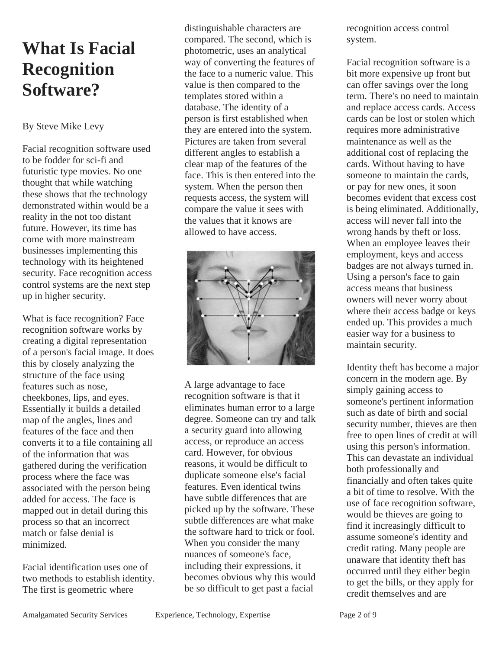## <span id="page-1-0"></span>**What Is Facial Recognition Software?**

#### By Steve Mike Levy

Facial recognition software used to be fodder for sci-fi and futuristic type movies. No one thought that while watching these shows that the technology demonstrated within would be a reality in the not too distant future. However, its time has come with more mainstream businesses implementing this technology with its heightened security. Face recognition access control systems are the next step up in higher security.

What is face recognition? Face recognition software works by creating a digital representation of a person's facial image. It does this by closely analyzing the structure of the face using features such as nose, cheekbones, lips, and eyes. Essentially it builds a detailed map of the angles, lines and features of the face and then converts it to a file containing all of the information that was gathered during the verification process where the face was associated with the person being added for access. The face is mapped out in detail during this process so that an incorrect match or false denial is minimized.

Facial identification uses one of two methods to establish identity. The first is geometric where

distinguishable characters are compared. The second, which is photometric, uses an analytical way of converting the features of the face to a numeric value. This value is then compared to the templates stored within a database. The identity of a person is first established when they are entered into the system. Pictures are taken from several different angles to establish a clear map of the features of the face. This is then entered into the system. When the person then requests access, the system will compare the value it sees with the values that it knows are allowed to have access.



A large advantage to face recognition software is that it eliminates human error to a large degree. Someone can try and talk a security guard into allowing access, or reproduce an access card. However, for obvious reasons, it would be difficult to duplicate someone else's facial features. Even identical twins have subtle differences that are picked up by the software. These subtle differences are what make the software hard to trick or fool. When you consider the many nuances of someone's face, including their expressions, it becomes obvious why this would be so difficult to get past a facial

recognition access control system.

Facial recognition software is a bit more expensive up front but can offer savings over the long term. There's no need to maintain and replace access cards. Access cards can be lost or stolen which requires more administrative maintenance as well as the additional cost of replacing the cards. Without having to have someone to maintain the cards, or pay for new ones, it soon becomes evident that excess cost is being eliminated. Additionally, access will never fall into the wrong hands by theft or loss. When an employee leaves their employment, keys and access badges are not always turned in. Using a person's face to gain access means that business owners will never worry about where their access badge or keys ended up. This provides a much easier way for a business to maintain security.

Identity theft has become a major concern in the modern age. By simply gaining access to someone's pertinent information such as date of birth and social security number, thieves are then free to open lines of credit at will using this person's information. This can devastate an individual both professionally and financially and often takes quite a bit of time to resolve. With the use of face recognition software, would be thieves are going to find it increasingly difficult to assume someone's identity and credit rating. Many people are unaware that identity theft has occurred until they either begin to get the bills, or they apply for credit themselves and are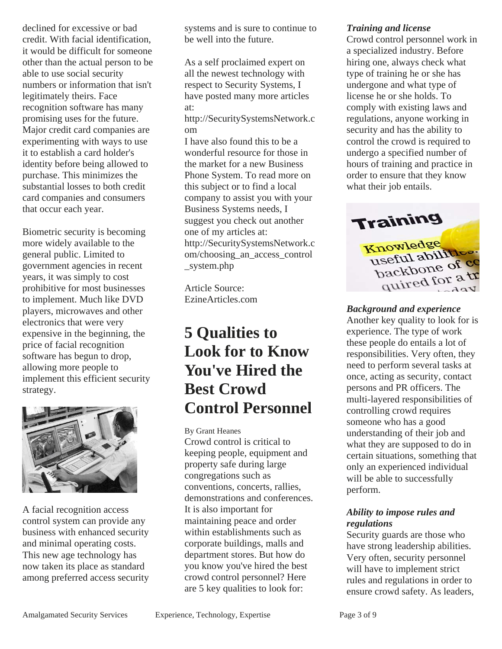<span id="page-2-0"></span>declined for excessive or bad credit. With facial identification, it would be difficult for someone other than the actual person to be able to use social security numbers or information that isn't legitimately theirs. Face recognition software has many promising uses for the future. Major credit card companies are experimenting with ways to use it to establish a card holder's identity before being allowed to purchase. This minimizes the substantial losses to both credit card companies and consumers that occur each year.

Biometric security is becoming more widely available to the general public. Limited to government agencies in recent years, it was simply to cost prohibitive for most businesses to implement. Much like DVD players, microwaves and other electronics that were very expensive in the beginning, the price of facial recognition software has begun to drop, allowing more people to implement this efficient security strategy.



A facial recognition access control system can provide any business with enhanced security and minimal operating costs. This new age technology has now taken its place as standard among preferred access security systems and is sure to continue to be well into the future.

As a self proclaimed expert on all the newest technology with respect to Security Systems, I have posted many more articles at:

http://SecuritySystemsNetwork.c om

I have also found this to be a wonderful resource for those in the market for a new Business Phone System. To read more on this subject or to find a local company to assist you with your Business Systems needs, I suggest you check out another one of my articles at: http://SecuritySystemsNetwork.c om/choosing\_an\_access\_control \_system.php

Article Source: EzineArticles.com

### **5 Qualities to Look for to Know You've Hired the Best Crowd Control Personnel**

By Grant Heanes Crowd control is critical to keeping people, equipment and property safe during large congregations such as conventions, concerts, rallies, demonstrations and conferences. It is also important for maintaining peace and order within establishments such as corporate buildings, malls and department stores. But how do you know you've hired the best crowd control personnel? Here are 5 key qualities to look for:

#### *Training and license*

Crowd control personnel work in a specialized industry. Before hiring one, always check what type of training he or she has undergone and what type of license he or she holds. To comply with existing laws and regulations, anyone working in security and has the ability to control the crowd is required to undergo a specified number of hours of training and practice in order to ensure that they know what their job entails.

Training Knowledge useful abilities. useful approved co packbone<br>quired for a tr

#### *Background and experience*  Another key quality to look for is experience. The type of work these people do entails a lot of responsibilities. Very often, they need to perform several tasks at once, acting as security, contact persons and PR officers. The multi-layered responsibilities of controlling crowd requires someone who has a good understanding of their job and what they are supposed to do in certain situations, something that only an experienced individual will be able to successfully perform.

#### *Ability to impose rules and regulations*

Security guards are those who have strong leadership abilities. Very often, security personnel will have to implement strict rules and regulations in order to ensure crowd safety. As leaders,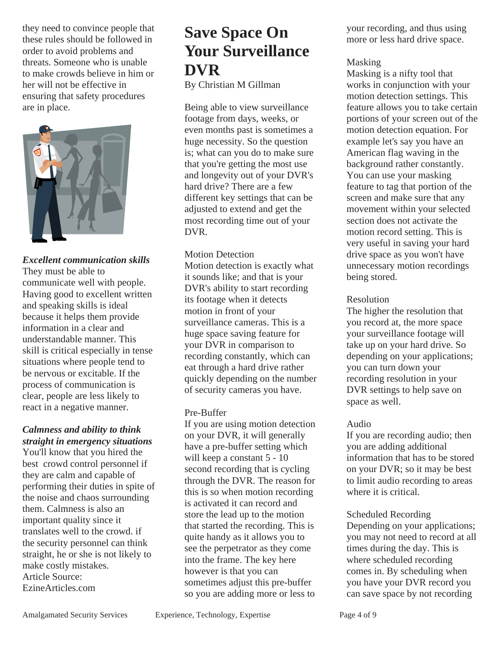<span id="page-3-0"></span>they need to convince people that these rules should be followed in order to avoid problems and threats. Someone who is unable to make crowds believe in him or her will not be effective in ensuring that safety procedures are in place.



*Excellent communication skills*  They must be able to communicate well with people. Having good to excellent written and speaking skills is ideal because it helps them provide information in a clear and understandable manner. This skill is critical especially in tense situations where people tend to

be nervous or excitable. If the process of communication is clear, people are less likely to react in a negative manner.

#### *Calmness and ability to think straight in emergency situations*

You'll know that you hired the best crowd control personnel if they are calm and capable of performing their duties in spite of the noise and chaos surrounding them. Calmness is also an important quality since it translates well to the crowd. if the security personnel can think straight, he or she is not likely to make costly mistakes. Article Source: EzineArticles.com

### **Save Space On Your Surveillance DVR**

By Christian M Gillman

Being able to view surveillance footage from days, weeks, or even months past is sometimes a huge necessity. So the question is; what can you do to make sure that you're getting the most use and longevity out of your DVR's hard drive? There are a few different key settings that can be adjusted to extend and get the most recording time out of your DVR.

#### Motion Detection

Motion detection is exactly what it sounds like; and that is your DVR's ability to start recording its footage when it detects motion in front of your surveillance cameras. This is a huge space saving feature for your DVR in comparison to recording constantly, which can eat through a hard drive rather quickly depending on the number of security cameras you have.

#### Pre-Buffer

If you are using motion detection on your DVR, it will generally have a pre-buffer setting which will keep a constant 5 - 10 second recording that is cycling through the DVR. The reason for this is so when motion recording is activated it can record and store the lead up to the motion that started the recording. This is quite handy as it allows you to see the perpetrator as they come into the frame. The key here however is that you can sometimes adjust this pre-buffer so you are adding more or less to

your recording, and thus using more or less hard drive space.

#### Masking

Masking is a nifty tool that works in conjunction with your motion detection settings. This feature allows you to take certain portions of your screen out of the motion detection equation. For example let's say you have an American flag waving in the background rather constantly. You can use your masking feature to tag that portion of the screen and make sure that any movement within your selected section does not activate the motion record setting. This is very useful in saving your hard drive space as you won't have unnecessary motion recordings being stored.

#### Resolution

The higher the resolution that you record at, the more space your surveillance footage will take up on your hard drive. So depending on your applications; you can turn down your recording resolution in your DVR settings to help save on space as well.

#### Audio

If you are recording audio; then you are adding additional information that has to be stored on your DVR; so it may be best to limit audio recording to areas where it is critical.

#### Scheduled Recording

Depending on your applications; you may not need to record at all times during the day. This is where scheduled recording comes in. By scheduling when you have your DVR record you can save space by not recording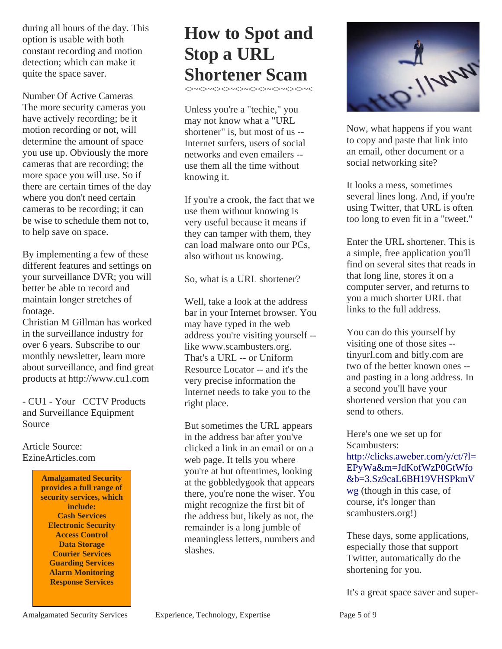<span id="page-4-0"></span>during all hours of the day. This option is usable with both constant recording and motion detection; which can make it quite the space saver.

Number Of Active Cameras The more security cameras you have actively recording; be it motion recording or not, will determine the amount of space you use up. Obviously the more cameras that are recording; the more space you will use. So if there are certain times of the day where you don't need certain cameras to be recording; it can be wise to schedule them not to, to help save on space.

By implementing a few of these different features and settings on your surveillance DVR; you will better be able to record and maintain longer stretches of footage.

Christian M Gillman has worked in the surveillance industry for over 6 years. Subscribe to our monthly newsletter, learn more about surveillance, and find great products at http://www.cu1.com

- CU1 - Your CCTV Products and Surveillance Equipment Source

Article Source: EzineArticles.com

> **Amalgamated Security provides a full range of security services, which include: Cash Services Electronic Security Access Control Data Storage Courier Services Guarding Services Alarm Monitoring Response Services**

## **How to Spot and Stop a URL Shortener Scam**

<>~<>~<><>~<>~<><>~<>~<><>~<

Unless you're a "techie," you may not know what a "URL shortener" is, but most of us -- Internet surfers, users of social networks and even emailers - use them all the time without knowing it.

If you're a crook, the fact that we use them without knowing is very useful because it means if they can tamper with them, they can load malware onto our PCs, also without us knowing.

So, what is a URL shortener?

Well, take a look at the address bar in your Internet browser. You may have typed in the web address you're visiting yourself - like www.scambusters.org. That's a URL -- or Uniform Resource Locator -- and it's the very precise information the Internet needs to take you to the right place.

But sometimes the URL appears in the address bar after you've clicked a link in an email or on a web page. It tells you where you're at but oftentimes, looking at the gobbledygook that appears there, you're none the wiser. You might recognize the first bit of the address but, likely as not, the remainder is a long jumble of meaningless letters, numbers and slashes.



Now, what happens if you want to copy and paste that link into an email, other document or a social networking site?

It looks a mess, sometimes several lines long. And, if you're using Twitter, that URL is often too long to even fit in a "tweet."

Enter the URL shortener. This is a simple, free application you'll find on several sites that reads in that long line, stores it on a computer server, and returns to you a much shorter URL that links to the full address.

You can do this yourself by visiting one of those sites - tinyurl.com and bitly.com are two of the better known ones - and pasting in a long address. In a second you'll have your shortened version that you can send to others.

Here's one we set up for Scambusters: http://clicks.aweber.com/y/ct/?l= EPyWa&m=JdKofWzP0GtWfo &b=3.Sz9caL6BH19VHSPkmV wg (though in this case, of course, it's longer than

scambusters.org!)

These days, some applications, especially those that support Twitter, automatically do the shortening for you.

It's a great space saver and super-

Amalgamated Security Services Experience, Technology, Expertise Page 5 of 9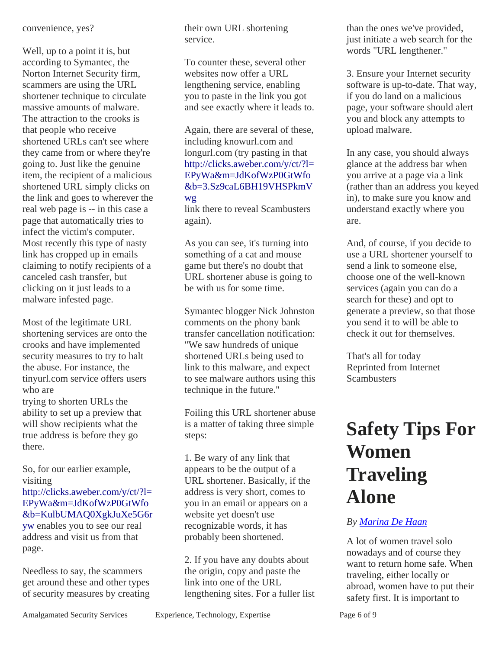#### <span id="page-5-0"></span>convenience, yes?

Well, up to a point it is, but according to Symantec, the Norton Internet Security firm, scammers are using the URL shortener technique to circulate massive amounts of malware. The attraction to the crooks is that people who receive shortened URLs can't see where they came from or where they're going to. Just like the genuine item, the recipient of a malicious shortened URL simply clicks on the link and goes to wherever the real web page is -- in this case a page that automatically tries to infect the victim's computer. Most recently this type of nasty link has cropped up in emails claiming to notify recipients of a canceled cash transfer, but clicking on it just leads to a malware infested page.

Most of the legitimate URL shortening services are onto the crooks and have implemented security measures to try to halt the abuse. For instance, the tinyurl.com service offers users who are trying to shorten URLs the ability to set up a preview that will show recipients what the

true address is before they go there.

So, for our earlier example, visiting

#### http://clicks.aweber.com/y/ct/?l= EPyWa&m=JdKofWzP0GtWfo &b=KulbUMAQ0XgkJuXe5G6r

yw enables you to see our real address and visit us from that page.

Needless to say, the scammers get around these and other types of security measures by creating

their own URL shortening service.

To counter these, several other websites now offer a URL lengthening service, enabling you to paste in the link you got and see exactly where it leads to.

Again, there are several of these, including knowurl.com and longurl.com (try pasting in that http://clicks.aweber.com/y/ct/?l= EPyWa&m=JdKofWzP0GtWfo &b=3.Sz9caL6BH19VHSPkmV wg

link there to reveal Scambusters again).

As you can see, it's turning into something of a cat and mouse game but there's no doubt that URL shortener abuse is going to be with us for some time.

Symantec blogger Nick Johnston comments on the phony bank transfer cancellation notification: "We saw hundreds of unique shortened URLs being used to link to this malware, and expect to see malware authors using this technique in the future."

Foiling this URL shortener abuse is a matter of taking three simple steps:

1. Be wary of any link that appears to be the output of a URL shortener. Basically, if the address is very short, comes to you in an email or appears on a website yet doesn't use recognizable words, it has probably been shortened.

2. If you have any doubts about the origin, copy and paste the link into one of the URL lengthening sites. For a fuller list than the ones we've provided, just initiate a web search for the words "URL lengthener."

3. Ensure your Internet security software is up-to-date. That way, if you do land on a malicious page, your software should alert you and block any attempts to upload malware.

In any case, you should always glance at the address bar when you arrive at a page via a link (rather than an address you keyed in), to make sure you know and understand exactly where you are.

And, of course, if you decide to use a URL shortener yourself to send a link to someone else, choose one of the well-known services (again you can do a search for these) and opt to generate a preview, so that those you send it to will be able to check it out for themselves.

That's all for today Reprinted from Internet **Scambusters** 

# **Safety Tips For Women Traveling Alone**

#### *By Marina De Haan*

A lot of women travel solo nowadays and of course they want to return home safe. When traveling, either locally or abroad, women have to put their safety first. It is important to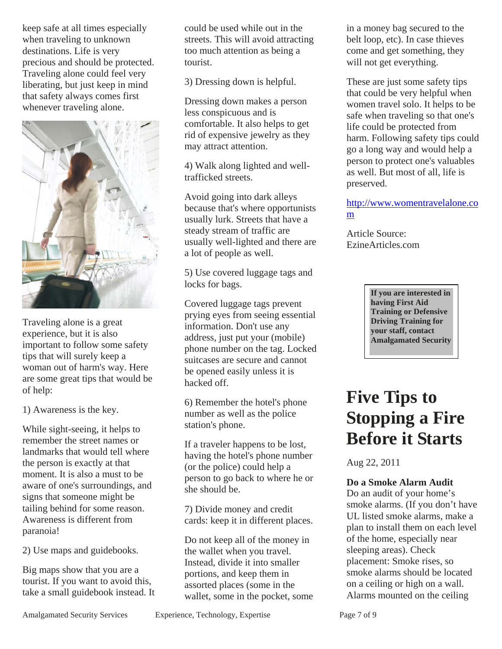<span id="page-6-0"></span>keep safe at all times especially when traveling to unknown destinations. Life is very precious and should be protected. Traveling alone could feel very liberating, but just keep in mind that safety always comes first whenever traveling alone.



Traveling alone is a great experience, but it is also important to follow some safety tips that will surely keep a woman out of harm's way. Here are some great tips that would be of help:

1) Awareness is the key.

While sight-seeing, it helps to remember the street names or landmarks that would tell where the person is exactly at that moment. It is also a must to be aware of one's surroundings, and signs that someone might be tailing behind for some reason. Awareness is different from paranoia!

2) Use maps and guidebooks.

Big maps show that you are a tourist. If you want to avoid this, take a small guidebook instead. It could be used while out in the streets. This will avoid attracting too much attention as being a tourist.

3) Dressing down is helpful.

Dressing down makes a person less conspicuous and is comfortable. It also helps to get rid of expensive jewelry as they may attract attention.

4) Walk along lighted and welltrafficked streets.

Avoid going into dark alleys because that's where opportunists usually lurk. Streets that have a steady stream of traffic are usually well-lighted and there are a lot of people as well.

5) Use covered luggage tags and locks for bags.

Covered luggage tags prevent prying eyes from seeing essential information. Don't use any address, just put your (mobile) phone number on the tag. Locked suitcases are secure and cannot be opened easily unless it is hacked off.

6) Remember the hotel's phone number as well as the police station's phone.

If a traveler happens to be lost, having the hotel's phone number (or the police) could help a person to go back to where he or she should be.

7) Divide money and credit cards: keep it in different places.

Do not keep all of the money in the wallet when you travel. Instead, divide it into smaller portions, and keep them in assorted places (some in the wallet, some in the pocket, some in a money bag secured to the belt loop, etc). In case thieves come and get something, they will not get everything.

These are just some safety tips that could be very helpful when women travel solo. It helps to be safe when traveling so that one's life could be protected from harm. Following safety tips could go a long way and would help a person to protect one's valuables as well. But most of all, life is preserved.

http://www.womentravelalone.co m

Article Source: EzineArticles.com

> **If you are interested in having First Aid Training or Defensive Driving Training for your staff, contact Amalgamated Security**

# **Five Tips to Stopping a Fire Before it Starts**

Aug 22, 2011

**Do a Smoke Alarm Audit** Do an audit of your home's smoke alarms. (If you don't have UL listed smoke alarms, make a plan to install them on each level of the home, especially near sleeping areas). Check placement: Smoke rises, so smoke alarms should be located on a ceiling or high on a wall. Alarms mounted on the ceiling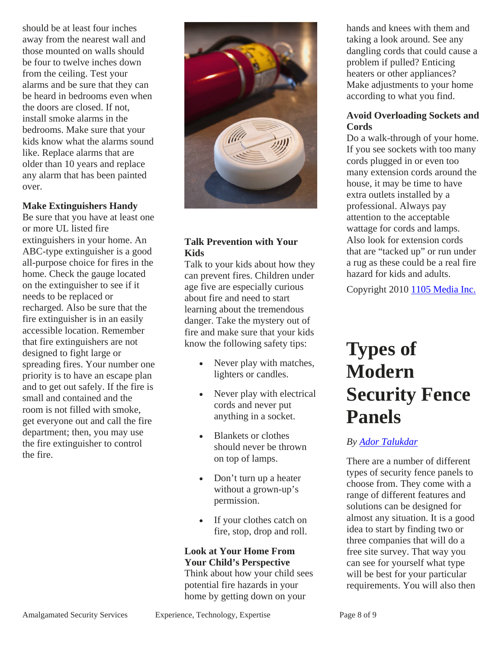<span id="page-7-0"></span>should be at least four inches away from the nearest wall and those mounted on walls should be four to twelve inches down from the ceiling. Test your alarms and be sure that they can be heard in bedrooms even when the doors are closed. If not, install smoke alarms in the bedrooms. Make sure that your kids know what the alarms sound like. Replace alarms that are older than 10 years and replace any alarm that has been painted over.

#### **Make Extinguishers Handy**

Be sure that you have at least one or more UL listed fire extinguishers in your home. An ABC-type extinguisher is a good all-purpose choice for fires in the home. Check the gauge located on the extinguisher to see if it needs to be replaced or recharged. Also be sure that the fire extinguisher is in an easily accessible location. Remember that fire extinguishers are not designed to fight large or spreading fires. Your number one priority is to have an escape plan and to get out safely. If the fire is small and contained and the room is not filled with smoke, get everyone out and call the fire department; then, you may use the fire extinguisher to control the fire.



#### **Talk Prevention with Your Kids**

Talk to your kids about how they can prevent fires. Children under age five are especially curious about fire and need to start learning about the tremendous danger. Take the mystery out of fire and make sure that your kids know the following safety tips:

- Never play with matches, lighters or candles.
- Never play with electrical cords and never put anything in a socket.
- Blankets or clothes should never be thrown on top of lamps.
- Don't turn up a heater without a grown-up's permission.
- If your clothes catch on fire, stop, drop and roll.

#### **Look at Your Home From Your Child's Perspective**

Think about how your child sees potential fire hazards in your home by getting down on your

hands and knees with them and taking a look around. See any dangling cords that could cause a problem if pulled? Enticing heaters or other appliances? Make adjustments to your home according to what you find.

#### **Avoid Overloading Sockets and Cords**

Do a walk-through of your home. If you see sockets with too many cords plugged in or even too many extension cords around the house, it may be time to have extra outlets installed by a professional. Always pay attention to the acceptable wattage for cords and lamps. Also look for extension cords that are "tacked up" or run under a rug as these could be a real fire hazard for kids and adults.

Copyright 2010 1105 Media Inc.

# **Types of Modern Security Fence Panels**

#### *By Ador Talukdar*

There are a number of different types of security fence panels to choose from. They come with a range of different features and solutions can be designed for almost any situation. It is a good idea to start by finding two or three companies that will do a free site survey. That way you can see for yourself what type will be best for your particular requirements. You will also then